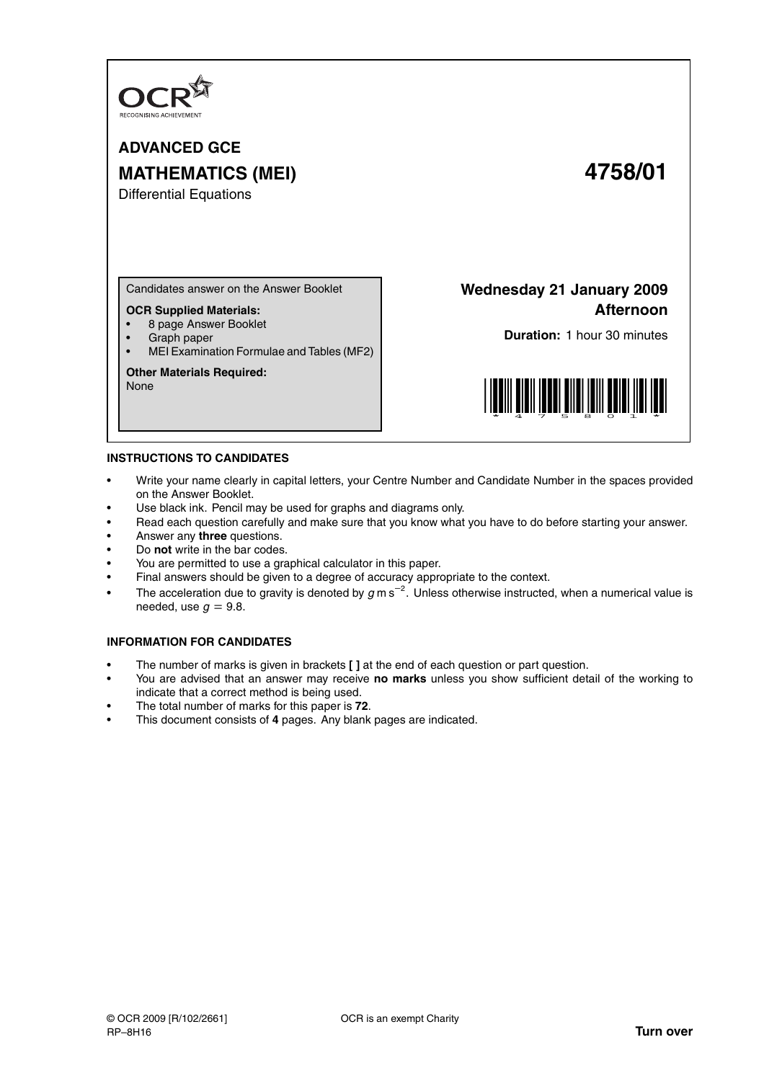

**ADVANCED GCE MATHEMATICS (MEI) 4758/01**

Differential Equations

Candidates answer on the Answer Booklet

## **OCR Supplied Materials:**

- 8 page Answer Booklet
- Graph paper
- MEI Examination Formulae and Tables (MF2)

## **Other Materials Required:**

None

**Wednesday 21 January 2009 Afternoon**

**Duration:** 1 hour 30 minutes



## **INSTRUCTIONS TO CANDIDATES**

- Write your name clearly in capital letters, your Centre Number and Candidate Number in the spaces provided on the Answer Booklet.
- Use black ink. Pencil may be used for graphs and diagrams only.
- Read each question carefully and make sure that you know what you have to do before starting your answer.
- Answer any **three** questions.
- Do **not** write in the bar codes.
- You are permitted to use a graphical calculator in this paper.
- Final answers should be given to a degree of accuracy appropriate to the context.
- The acceleration due to gravity is denoted by  $g$  m s<sup>-2</sup>. Unless otherwise instructed, when a numerical value is needed, use  $q = 9.8$ .

## **INFORMATION FOR CANDIDATES**

- The number of marks is given in brackets **[ ]** at the end of each question or part question.
- You are advised that an answer may receive **no marks** unless you show sufficient detail of the working to indicate that a correct method is being used.
- The total number of marks for this paper is **72**.
- This document consists of **4** pages. Any blank pages are indicated.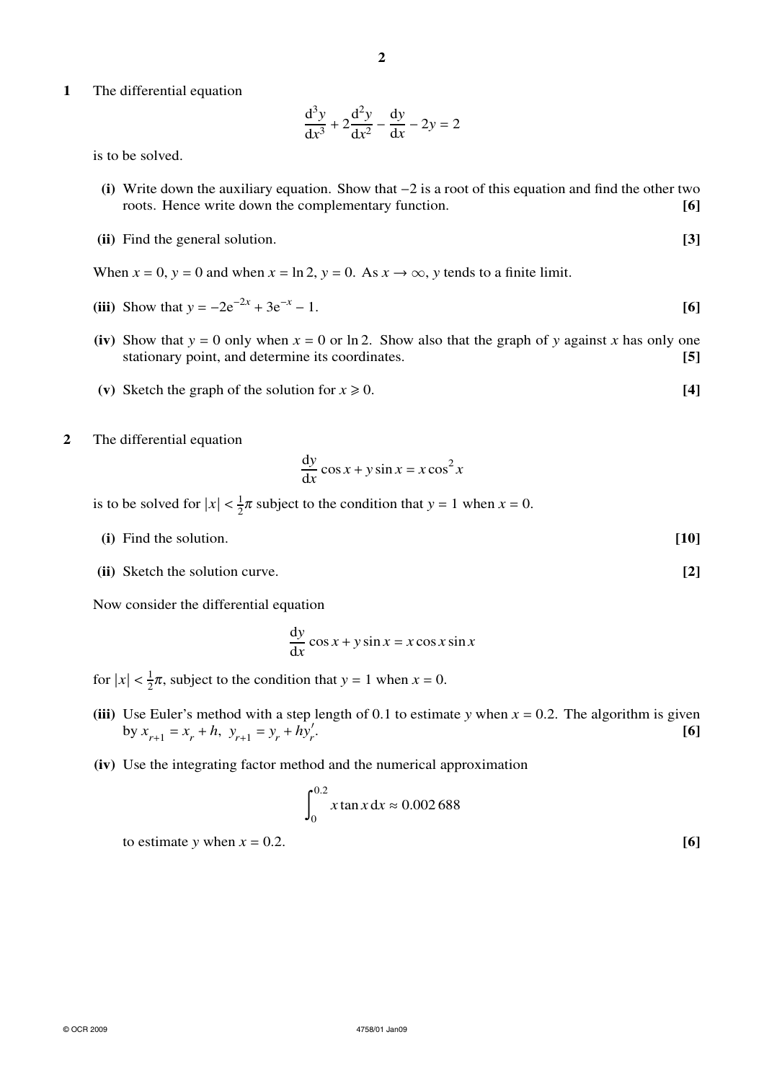**1** The differential equation

$$
\frac{d^3y}{dx^3} + 2\frac{d^2y}{dx^2} - \frac{dy}{dx} - 2y = 2
$$

is to be solved.

- **(i)** Write down the auxiliary equation. Show that −2 is a root of this equation and find the other two roots. Hence write down the complementary function. **[6]**
- **(ii)** Find the general solution. **[3]**

When  $x = 0$ ,  $y = 0$  and when  $x = \ln 2$ ,  $y = 0$ . As  $x \to \infty$ , y tends to a finite limit.

- (iii) Show that  $y = -2e^{-2x} + 3e^{-x} 1$ . [6]
- (iv) Show that  $y = 0$  only when  $x = 0$  or ln 2. Show also that the graph of *y* against *x* has only one stationary point, and determine its coordinates. **[5]**
- (v) Sketch the graph of the solution for  $x \ge 0$ . [4]
- **2** The differential equation

$$
\frac{dy}{dx}\cos x + y\sin x = x\cos^2 x
$$

is to be solved for  $|x| < \frac{1}{2}\pi$  subject to the condition that  $y = 1$  when  $x = 0$ .

- **(i)** Find the solution. **[10]**
- **(ii)** Sketch the solution curve. **[2]**

Now consider the differential equation

$$
\frac{dy}{dx}\cos x + y\sin x = x\cos x \sin x
$$

for  $|x| < \frac{1}{2}\pi$ , subject to the condition that  $y = 1$  when  $x = 0$ .

- (iii) Use Euler's method with a step length of 0.1 to estimate *y* when  $x = 0.2$ . The algorithm is given by  $x_{r+1} = x_r + h$ ,  $y_{r+1} = y_r + hy'_r$ . **[6]**
- **(iv)** Use the integrating factor method and the numerical approximation

$$
\int_0^{0.2} x \tan x \, dx \approx 0.002\,688
$$

to estimate *y* when  $x = 0.2$ . [6]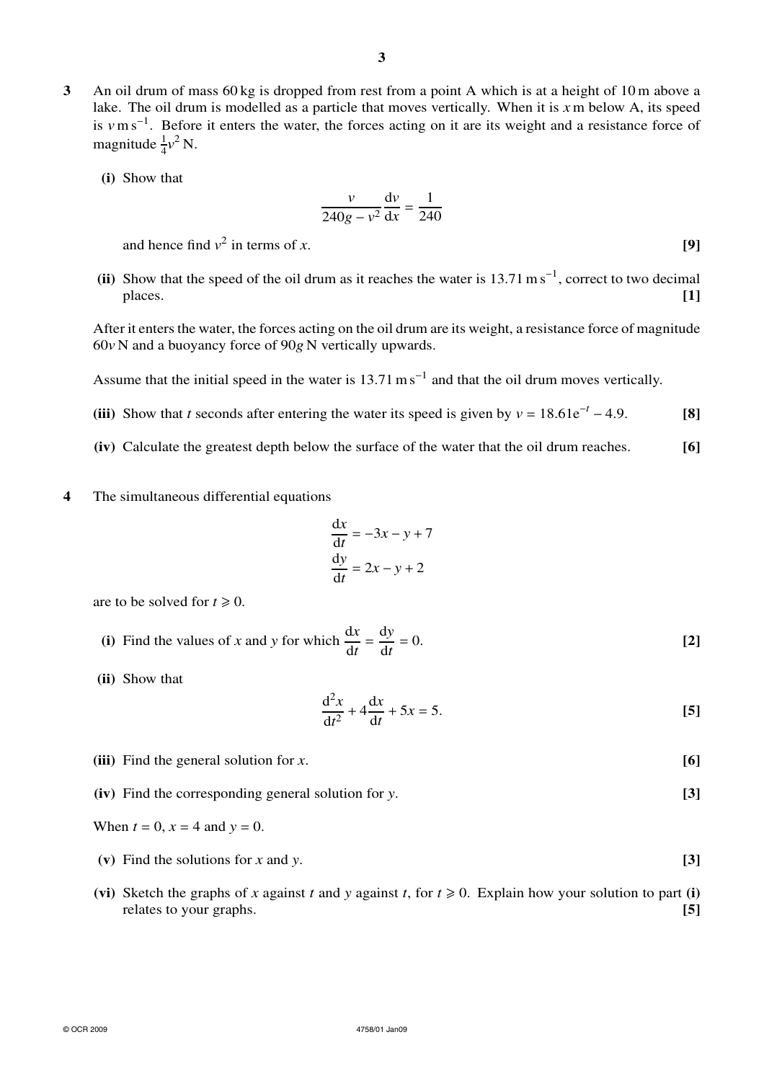**3** An oil drum of mass 60 kg is dropped from rest from a point A which is at a height of 10 m above a lake. The oil drum is modelled as a particle that moves vertically. When it is *x* m below A, its speed is *v*m s<sup>−</sup><sup>1</sup> . Before it enters the water, the forces acting on it are its weight and a resistance force of magnitude  $\frac{1}{4}v^2$  N.

**(i)** Show that

$$
\frac{v}{240g - v^2} \frac{\mathrm{d}v}{\mathrm{d}x} = \frac{1}{240}
$$

and hence find  $v^2$  in terms of *x*. [9]

(ii) Show that the speed of the oil drum as it reaches the water is  $13.71 \text{ m s}^{-1}$ , correct to two decimal places. **[1]**

After it enters the water, the forces acting on the oil drum are its weight, a resistance force of magnitude 60*v* N and a buoyancy force of 90*g* N vertically upwards.

Assume that the initial speed in the water is  $13.71 \text{ m s}^{-1}$  and that the oil drum moves vertically.

- (iii) Show that *t* seconds after entering the water its speed is given by  $v = 18.61e^{-t} 4.9$ . [8]
- **(iv)** Calculate the greatest depth below the surface of the water that the oil drum reaches. **[6]**
- **4** The simultaneous differential equations

$$
\frac{dx}{dt} = -3x - y + 7
$$

$$
\frac{dy}{dt} = 2x - y + 2
$$

are to be solved for  $t \ge 0$ .

(i) Find the values of x and y for which 
$$
\frac{dx}{dt} = \frac{dy}{dt} = 0.
$$
 [2]

**(ii)** Show that

$$
\frac{d^2x}{dt^2} + 4\frac{dx}{dt} + 5x = 5.
$$
 [5]

- **(iii)** Find the general solution for *x*. **[6]**
- **(iv)** Find the corresponding general solution for *y*. **[3]**
- When  $t = 0$ ,  $x = 4$  and  $y = 0$ .
- **(v)** Find the solutions for *x* and *y*. **[3]**
- (vi) Sketch the graphs of *x* against *t* and *y* against *t*, for  $t \ge 0$ . Explain how your solution to part (i) relates to your graphs. **[5]**